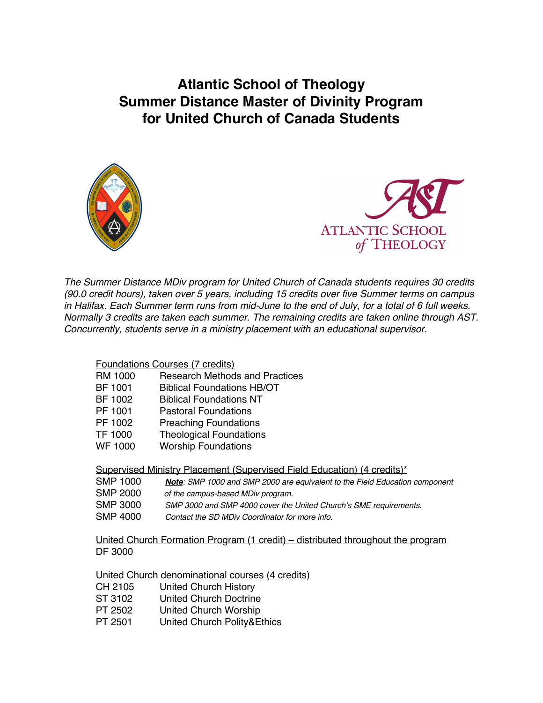**Atlantic School of Theology Summer Distance Master of Divinity Program for United Church of Canada Students**





*The Summer Distance MDiv program for United Church of Canada students requires 30 credits (90.0 credit hours), taken over 5 years, including 15 credits over five Summer terms on campus* in Halifax. Each Summer term runs from mid-June to the end of July, for a total of 6 full weeks. *Normally 3 credits are taken each summer. The remaining credits are taken online through AST. Concurrently, students serve in a ministry placement with an educational supervisor.*

## Foundations Courses (7 credits)

- RM 1000 Research Methods and Practices
- BF 1001 Biblical Foundations HB/OT
- BF 1002 Biblical Foundations NT
- PF 1001 Pastoral Foundations
- PF 1002 Preaching Foundations
- TF 1000 Theological Foundations
- WF 1000 Worship Foundations

Supervised Ministry Placement (Supervised Field Education) (4 credits)\*

- SMP 1000 *Note: SMP 1000 and SMP 2000 are equivalent to the Field Education component*
- SMP 2000 *of the campus-based MDiv program.*
- SMP 3000 *SMP 3000 and SMP 4000 cover the United Church's SME requirements.*
- SMP 4000 *Contact the SD MDiv Coordinator for more info.*

United Church Formation Program (1 credit) – distributed throughout the program DF 3000

## United Church denominational courses (4 credits)

| CH 2105 | <b>United Church History</b> |
|---------|------------------------------|
| ST 3102 | United Church Doctrine       |
| PT 2502 | United Church Worship        |
| PT 2501 | United Church Polity&Ethics  |